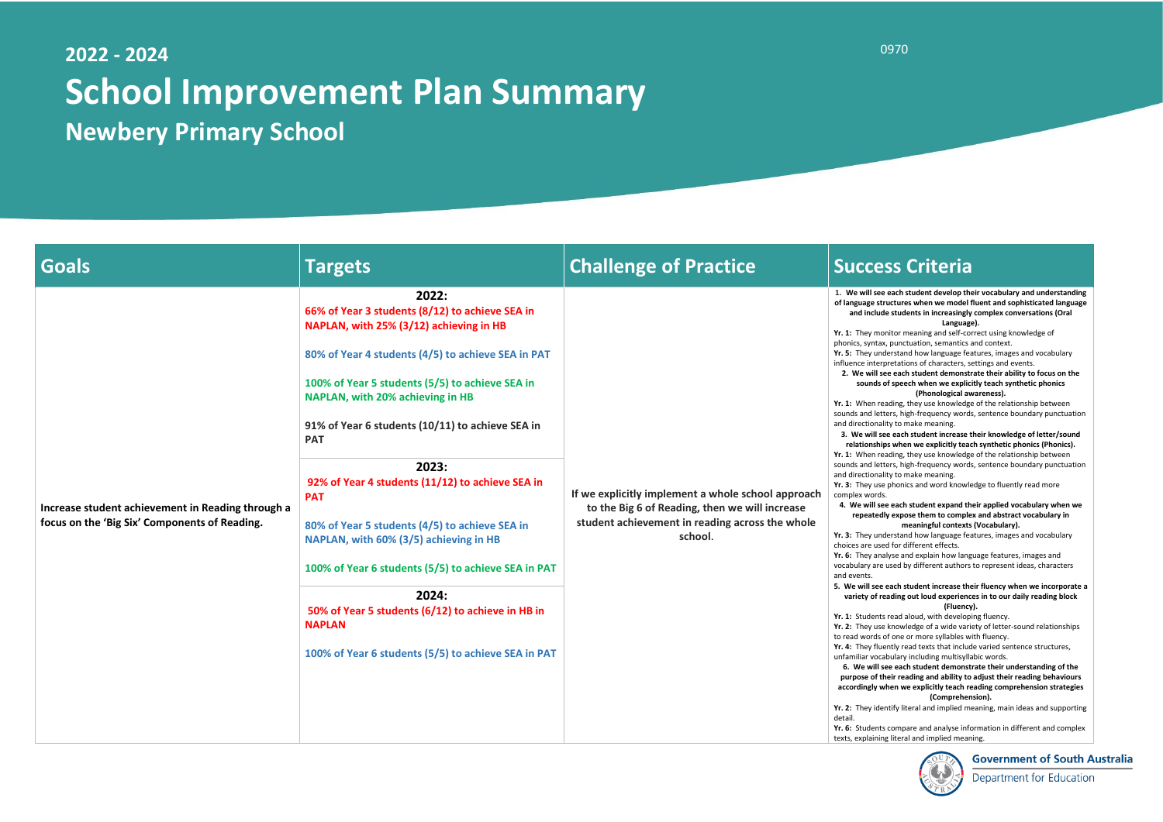# **2022 - 2024 School Improvement Plan Summary Newbery Primary School**

- **Yr. 1:** They monitor meaning and self-correct using knowledge of ax, punctuation, semantics and context.
- **Yr. 5:** They understand how language features, images and vocabulary rpretations of characters, settings and events.
- **2. We will see each student demonstrate their ability to focus on the s** of speech when we explicitly teach synthetic phonics **(Phonological awareness).**
- reading, they use knowledge of the relationship between tters, high-frequency words, sentence boundary punctuation ality to make meaning.
- **3. We will see each student increase their knowledge of letter/sound rips when we explicitly teach synthetic phonics (Phonics).** reading, they use knowledge of the relationship between tters, high-frequency words, sentence boundary punctuation ality to make meaning.
- **Yr. 3:** They use phonics and word knowledge to fluently read more ds.
- **4. We will see each student expand their applied vocabulary when we repeatedly expose them to complex and abstract vocabulary in meaningful contexts (Vocabulary).**
- **Yr. 3:** They understand how language features, images and vocabulary sed for different effects.
- **Yr. 6:** They analyse and explain how language features, images and e used by different authors to represent ideas, characters
- **5. We will see each student increase their fluency when we incorporate a**  reading out loud experiences in to our daily reading block **(Fluency).**
- ts read aloud, with developing fluency.
- **Yr. 2:** They use knowledge of a wide variety of letter-sound relationships s of one or more syllables with fluency.
- **Yr. 4:** They fluently read texts that include varied sentence structures, cabulary including multisyllabic words.
- **6. We will see each student demonstrate their understanding of the purpose of their reading and ability to adjust their reading behaviours accordingly when we explicitly teach reading comprehension strategies (Comprehension).**
- lentify literal and implied meaning, main ideas and supporting

ts compare and analyse information in different and complex ing literal and implied meaning.



## **Government of South Australia**

**Department for Education** 

**1. We will see each student develop their vocabulary and understanding of language structures when we model fluent and sophisticated language ade students in increasingly complex conversations (Oral Language).**

| <b>Goals</b>                                                                                       | <b>Targets</b>                                                                                                                                                                                                                                                                                                                                                                                                                                                                                                                                                                                                                                                                         | <b>Challenge of Practice</b>                                                                                                                                       | <b>Success Criteria</b>                                                                                                                                                                                                                                                                                                                                                                                                                                                                                                                                                                                                                                                                                                                                                                                                                                                                                                                                                                                                                                                                                                                                                                                                                                                                                                                                                                                                                                                                                                                                                                                                                                                                                                                                    |
|----------------------------------------------------------------------------------------------------|----------------------------------------------------------------------------------------------------------------------------------------------------------------------------------------------------------------------------------------------------------------------------------------------------------------------------------------------------------------------------------------------------------------------------------------------------------------------------------------------------------------------------------------------------------------------------------------------------------------------------------------------------------------------------------------|--------------------------------------------------------------------------------------------------------------------------------------------------------------------|------------------------------------------------------------------------------------------------------------------------------------------------------------------------------------------------------------------------------------------------------------------------------------------------------------------------------------------------------------------------------------------------------------------------------------------------------------------------------------------------------------------------------------------------------------------------------------------------------------------------------------------------------------------------------------------------------------------------------------------------------------------------------------------------------------------------------------------------------------------------------------------------------------------------------------------------------------------------------------------------------------------------------------------------------------------------------------------------------------------------------------------------------------------------------------------------------------------------------------------------------------------------------------------------------------------------------------------------------------------------------------------------------------------------------------------------------------------------------------------------------------------------------------------------------------------------------------------------------------------------------------------------------------------------------------------------------------------------------------------------------------|
| Increase student achievement in Reading through a<br>focus on the 'Big Six' Components of Reading. | 2022:<br>66% of Year 3 students (8/12) to achieve SEA in<br>NAPLAN, with 25% (3/12) achieving in HB<br>80% of Year 4 students (4/5) to achieve SEA in PAT<br>100% of Year 5 students (5/5) to achieve SEA in<br>NAPLAN, with 20% achieving in HB<br>91% of Year 6 students (10/11) to achieve SEA in<br><b>PAT</b><br>2023:<br>92% of Year 4 students (11/12) to achieve SEA in<br><b>PAT</b><br>80% of Year 5 students (4/5) to achieve SEA in<br>NAPLAN, with 60% (3/5) achieving in HB<br>100% of Year 6 students (5/5) to achieve SEA in PAT<br>2024:<br>50% of Year 5 students (6/12) to achieve in HB in<br><b>NAPLAN</b><br>100% of Year 6 students (5/5) to achieve SEA in PAT | If we explicitly implement a whole school approach<br>to the Big 6 of Reading, then we will increase<br>student achievement in reading across the whole<br>school. | 1. We will see each student develop the<br>of language structures when we model<br>and include students in increasingly<br>Languag<br>Yr. 1: They monitor meaning and self-co<br>phonics, syntax, punctuation, semantics<br>Yr. 5: They understand how language fea<br>influence interpretations of characters, s<br>2. We will see each student demonst<br>sounds of speech when we explic<br>(Phonological av<br>Yr. 1: When reading, they use knowledge<br>sounds and letters, high-frequency word<br>and directionality to make meaning.<br>3. We will see each student increase t<br>relationships when we explicitly tead<br>Yr. 1: When reading, they use knowledge<br>sounds and letters, high-frequency word<br>and directionality to make meaning.<br>Yr. 3: They use phonics and word knowle<br>complex words.<br>4. We will see each student expand th<br>repeatedly expose them to comple<br>meaningful contexts<br>Yr. 3: They understand how language fea<br>choices are used for different effects.<br>Yr. 6: They analyse and explain how lang<br>vocabulary are used by different authors<br>and events.<br>5. We will see each student increase the<br>variety of reading out loud experienc<br>(Fluency<br>Yr. 1: Students read aloud, with develop<br>Yr. 2: They use knowledge of a wide vari<br>to read words of one or more syllables w<br>Yr. 4: They fluently read texts that includ<br>unfamiliar vocabulary including multisylla<br>6. We will see each student demonst<br>purpose of their reading and ability to<br>accordingly when we explicitly teach re<br>(Compreher<br>Yr. 2: They identify literal and implied m<br>detail.<br>Yr. 6: Students compare and analyse info<br>texts, explaining literal and implied mear |